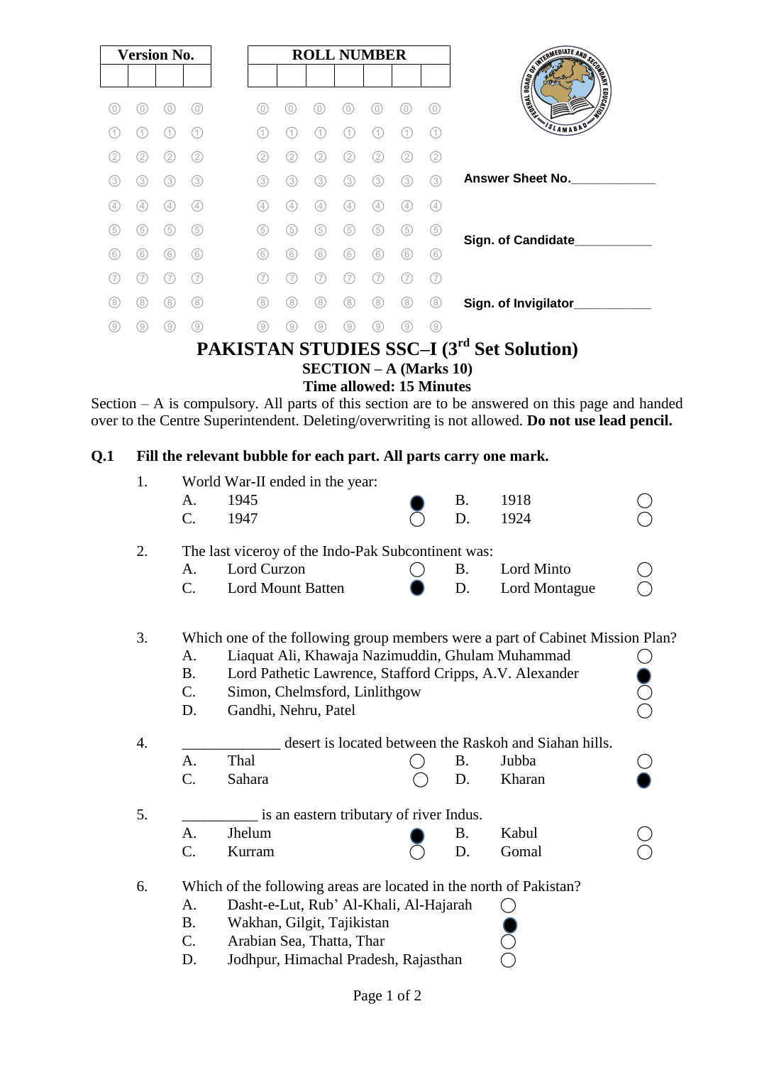|     | <b>Version No.</b> |                |                   |     |     |     |     | <b>ROLL NUMBER</b> |          |     |                                           |
|-----|--------------------|----------------|-------------------|-----|-----|-----|-----|--------------------|----------|-----|-------------------------------------------|
|     |                    |                |                   |     |     |     |     |                    |          |     | AND RESIDENCE AND SCRIPTION OF REAL       |
| (O) | 0                  |                | O.                | 0)  | O   | 0   | 0   | $\Omega$           | $\Omega$ | 0)  |                                           |
| 〔1〕 | 1                  |                | $\left( 1\right)$ | (1  | 1   |     |     |                    |          | (1) | SLAMABAD                                  |
| (2) | (2)                | 2              | 2.                | (2) | (2) | 2)  | (2) | $^{2}$             | 2        | (2) |                                           |
| (3) | (3)                | (3)            | (3)               | (3) | (3) | (3) | (3) | (3)                | 3        | (3) | <b>Answer Sheet No.</b>                   |
| (4) | (4)                | $\overline{4}$ | (4)               | (4) | (4) | (4) | (4) | 4                  | (4)      | (4) |                                           |
| (5) | (5)                | (5)            | (5)               | (5) | (5) | (5) | (5) | (5)                | (5)      | (5) | Sign. of Candidate___                     |
| (6) | (6)                | (6)            | (6)               | (6) | (6) | (6) | (6) | 6                  | 6        | (6) |                                           |
| 7   |                    |                |                   | (7  | 7   |     |     |                    |          | (7  |                                           |
| (8) | (8)                | (8)            | (8)               | (8) | (8) | (8) | (8) | (8)                | (8)      | (8) | Sign. of Invigilator_                     |
| (9) | 9                  | (9)            | 0                 | (9) | 0)  | 9   | ΄9΄ | 9                  | 9        | (9) |                                           |
|     |                    |                |                   |     |     |     |     |                    |          |     | PAKISTAN STUDIES SSC-I (3rd Set Solution) |

**SECTION – A (Marks 10)**

**Time allowed: 15 Minutes**

Section – A is compulsory. All parts of this section are to be answered on this page and handed over to the Centre Superintendent. Deleting/overwriting is not allowed. **Do not use lead pencil.**

### **Q.1 Fill the relevant bubble for each part. All parts carry one mark.**

| 1.               | World War-II ended in the year:                                               |                                                        |                                                         |           |               |  |  |  |  |  |  |
|------------------|-------------------------------------------------------------------------------|--------------------------------------------------------|---------------------------------------------------------|-----------|---------------|--|--|--|--|--|--|
|                  | A.                                                                            | 1945                                                   |                                                         | <b>B.</b> | 1918          |  |  |  |  |  |  |
|                  | C.                                                                            | 1947                                                   |                                                         | D.        | 1924          |  |  |  |  |  |  |
| 2.               | The last viceroy of the Indo-Pak Subcontinent was:                            |                                                        |                                                         |           |               |  |  |  |  |  |  |
|                  | A.                                                                            | Lord Curzon                                            |                                                         | <b>B.</b> | Lord Minto    |  |  |  |  |  |  |
|                  | C.                                                                            | <b>Lord Mount Batten</b>                               |                                                         | D.        | Lord Montague |  |  |  |  |  |  |
| 3.               | Which one of the following group members were a part of Cabinet Mission Plan? |                                                        |                                                         |           |               |  |  |  |  |  |  |
|                  | A.                                                                            | Liaquat Ali, Khawaja Nazimuddin, Ghulam Muhammad       |                                                         |           |               |  |  |  |  |  |  |
|                  | <b>B.</b>                                                                     |                                                        | Lord Pathetic Lawrence, Stafford Cripps, A.V. Alexander |           |               |  |  |  |  |  |  |
|                  | C.                                                                            | $\rm \ddot{\odot}$<br>Simon, Chelmsford, Linlithgow    |                                                         |           |               |  |  |  |  |  |  |
|                  | D.                                                                            | Gandhi, Nehru, Patel                                   |                                                         |           |               |  |  |  |  |  |  |
| $\overline{4}$ . |                                                                               | desert is located between the Raskoh and Siahan hills. |                                                         |           |               |  |  |  |  |  |  |
|                  | A.                                                                            | Thal                                                   |                                                         | <b>B.</b> | Jubba         |  |  |  |  |  |  |
|                  | C.                                                                            | Sahara                                                 |                                                         | D.        | Kharan        |  |  |  |  |  |  |
| 5.               | is an eastern tributary of river Indus.                                       |                                                        |                                                         |           |               |  |  |  |  |  |  |
|                  | A.                                                                            | Jhelum                                                 |                                                         | Β.        | Kabul         |  |  |  |  |  |  |
|                  | C.                                                                            | Kurram                                                 |                                                         | D.        | Gomal         |  |  |  |  |  |  |
| 6.               | Which of the following areas are located in the north of Pakistan?            |                                                        |                                                         |           |               |  |  |  |  |  |  |
|                  | A.                                                                            | Dasht-e-Lut, Rub' Al-Khali, Al-Hajarah                 |                                                         |           |               |  |  |  |  |  |  |
|                  | <b>B.</b>                                                                     | Wakhan, Gilgit, Tajikistan                             |                                                         |           |               |  |  |  |  |  |  |
|                  | $\mathcal{C}$ .                                                               | Arabian Sea, Thatta, Thar                              |                                                         |           |               |  |  |  |  |  |  |
|                  | D.                                                                            | Jodhpur, Himachal Pradesh, Rajasthan                   |                                                         |           |               |  |  |  |  |  |  |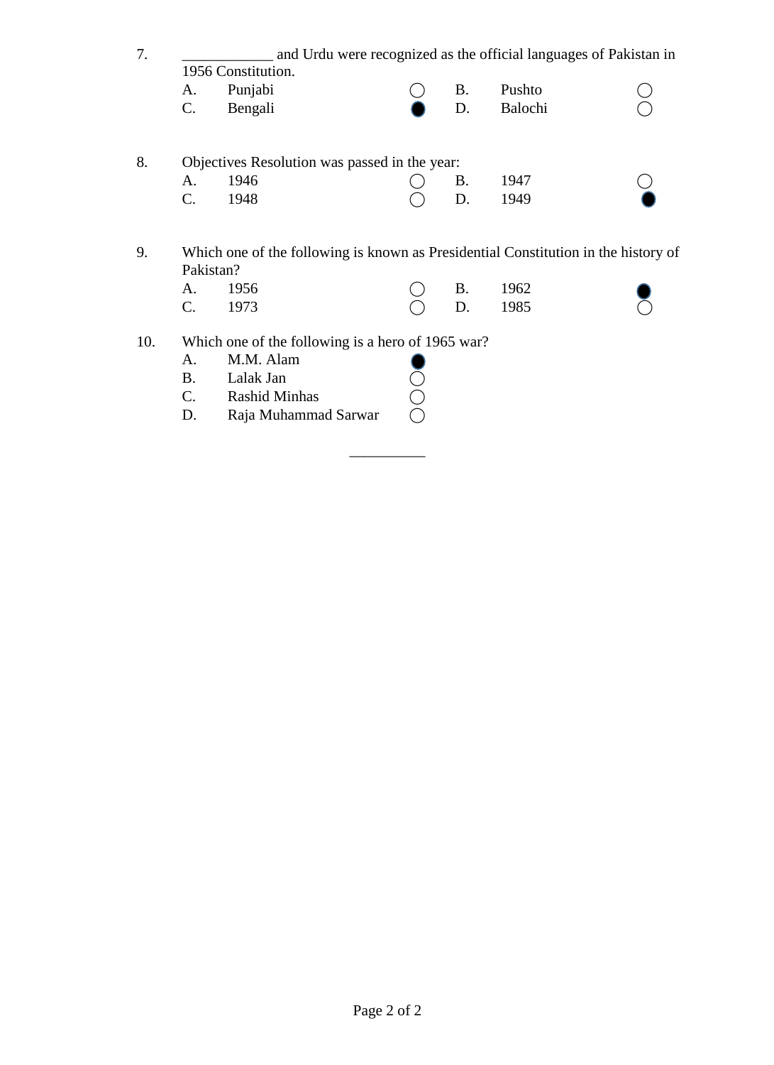| 7. | and Urdu were recognized as the official languages of Pakistan in                  |         |  |           |         |  |  |  |  |  |
|----|------------------------------------------------------------------------------------|---------|--|-----------|---------|--|--|--|--|--|
|    | 1956 Constitution.                                                                 |         |  |           |         |  |  |  |  |  |
|    | A.                                                                                 | Punjabi |  | <b>B.</b> | Pushto  |  |  |  |  |  |
|    | $\mathbf{C}$ .                                                                     | Bengali |  | D.        | Balochi |  |  |  |  |  |
| 8. | Objectives Resolution was passed in the year:                                      |         |  |           |         |  |  |  |  |  |
|    | A.                                                                                 | 1946    |  | <b>B.</b> | 1947    |  |  |  |  |  |
|    | C.                                                                                 | 1948    |  | D.        | 1949    |  |  |  |  |  |
| 9. | Which one of the following is known as Presidential Constitution in the history of |         |  |           |         |  |  |  |  |  |
|    | Pakistan?                                                                          |         |  |           |         |  |  |  |  |  |
|    | A.                                                                                 | 1956    |  | <b>B.</b> | 1962    |  |  |  |  |  |
|    |                                                                                    | 1973    |  | D.        | 1985    |  |  |  |  |  |

\_\_\_\_\_\_\_\_\_\_

- 10. Which one of the following is a hero of 1965 war?
	- A. M.M. Alam
	-
	- A. M.M. Alam<br>
	B. Lalak Jan<br>
	C. Rashid Minhas
	- C. Rashid Minhas  $\bigcirc$ <br>D. Raja Muhammad Sarwar  $\bigcirc$ Raja Muhammad Sarwar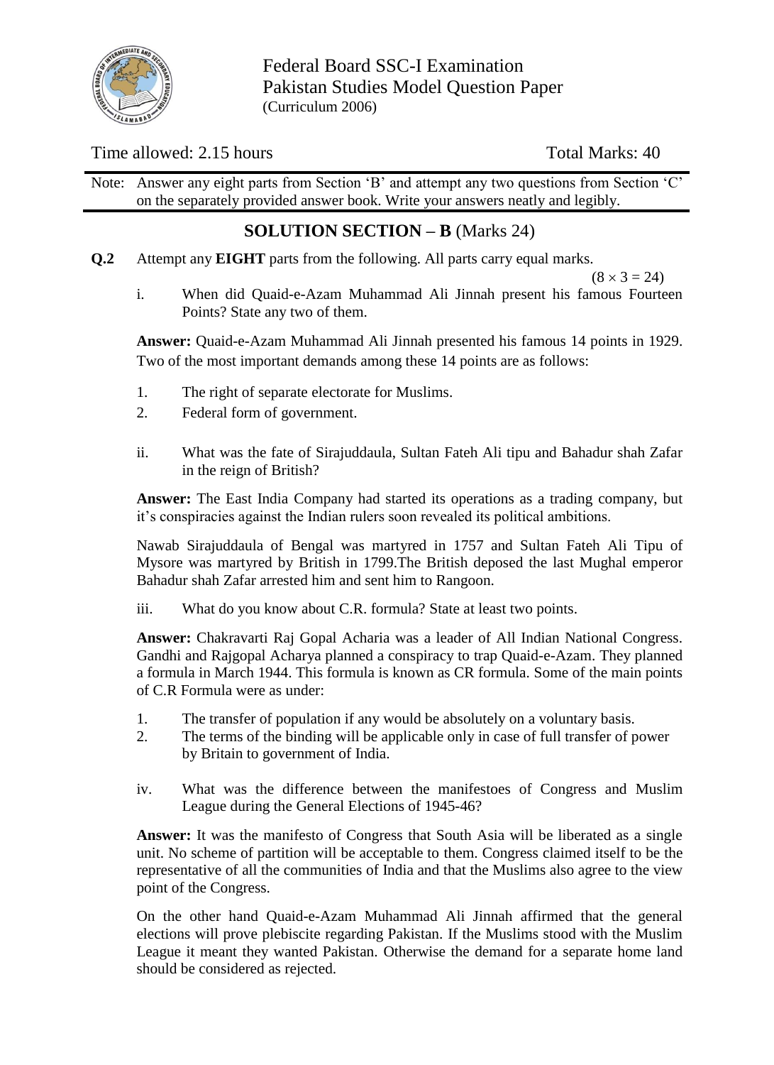

Federal Board SSC-I Examination Pakistan Studies Model Question Paper (Curriculum 2006)

## Time allowed: 2.15 hours Total Marks: 40

Note: Answer any eight parts from Section 'B' and attempt any two questions from Section 'C' on the separately provided answer book. Write your answers neatly and legibly.

# **SOLUTION SECTION – B** (Marks 24)

**Q.2** Attempt any **EIGHT** parts from the following. All parts carry equal marks.

 $(8 \times 3 = 24)$ 

i. When did Quaid-e-Azam Muhammad Ali Jinnah present his famous Fourteen Points? State any two of them.

**Answer:** Quaid-e-Azam Muhammad Ali Jinnah presented his famous 14 points in 1929. Two of the most important demands among these 14 points are as follows:

- 1. The right of separate electorate for Muslims.
- 2. Federal form of government.
- ii. What was the fate of Sirajuddaula, Sultan Fateh Ali tipu and Bahadur shah Zafar in the reign of British?

**Answer:** The East India Company had started its operations as a trading company, but it"s conspiracies against the Indian rulers soon revealed its political ambitions.

Nawab Sirajuddaula of Bengal was martyred in 1757 and Sultan Fateh Ali Tipu of Mysore was martyred by British in 1799.The British deposed the last Mughal emperor Bahadur shah Zafar arrested him and sent him to Rangoon.

iii. What do you know about C.R. formula? State at least two points.

**Answer:** Chakravarti Raj Gopal Acharia was a leader of All Indian National Congress. Gandhi and Rajgopal Acharya planned a conspiracy to trap Quaid-e-Azam. They planned a formula in March 1944. This formula is known as CR formula. Some of the main points of C.R Formula were as under:

- 1. The transfer of population if any would be absolutely on a voluntary basis.
- 2. The terms of the binding will be applicable only in case of full transfer of power by Britain to government of India.
- iv. What was the difference between the manifestoes of Congress and Muslim League during the General Elections of 1945-46?

**Answer:** It was the manifesto of Congress that South Asia will be liberated as a single unit. No scheme of partition will be acceptable to them. Congress claimed itself to be the representative of all the communities of India and that the Muslims also agree to the view point of the Congress.

On the other hand Quaid-e-Azam Muhammad Ali Jinnah affirmed that the general elections will prove plebiscite regarding Pakistan. If the Muslims stood with the Muslim League it meant they wanted Pakistan. Otherwise the demand for a separate home land should be considered as rejected.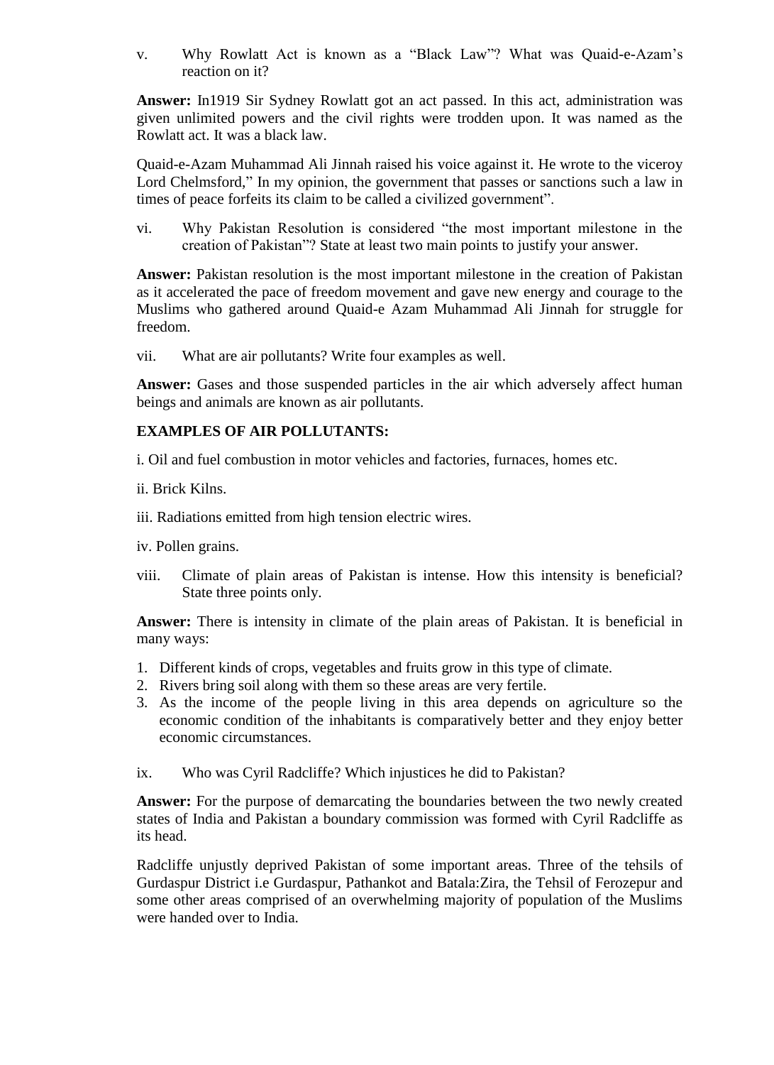v. Why Rowlatt Act is known as a "Black Law"? What was Quaid-e-Azam"s reaction on it?

**Answer:** In1919 Sir Sydney Rowlatt got an act passed. In this act, administration was given unlimited powers and the civil rights were trodden upon. It was named as the Rowlatt act. It was a black law.

Quaid-e-Azam Muhammad Ali Jinnah raised his voice against it. He wrote to the viceroy Lord Chelmsford," In my opinion, the government that passes or sanctions such a law in times of peace forfeits its claim to be called a civilized government".

vi. Why Pakistan Resolution is considered "the most important milestone in the creation of Pakistan"? State at least two main points to justify your answer.

**Answer:** Pakistan resolution is the most important milestone in the creation of Pakistan as it accelerated the pace of freedom movement and gave new energy and courage to the Muslims who gathered around Quaid-e Azam Muhammad Ali Jinnah for struggle for freedom.

vii. What are air pollutants? Write four examples as well.

**Answer:** Gases and those suspended particles in the air which adversely affect human beings and animals are known as air pollutants.

#### **EXAMPLES OF AIR POLLUTANTS:**

- i. Oil and fuel combustion in motor vehicles and factories, furnaces, homes etc.
- ii. Brick Kilns.
- iii. Radiations emitted from high tension electric wires.
- iv. Pollen grains.
- viii. Climate of plain areas of Pakistan is intense. How this intensity is beneficial? State three points only.

**Answer:** There is intensity in climate of the plain areas of Pakistan. It is beneficial in many ways:

- 1. Different kinds of crops, vegetables and fruits grow in this type of climate.
- 2. Rivers bring soil along with them so these areas are very fertile.
- 3. As the income of the people living in this area depends on agriculture so the economic condition of the inhabitants is comparatively better and they enjoy better economic circumstances.
- ix. Who was Cyril Radcliffe? Which injustices he did to Pakistan?

**Answer:** For the purpose of demarcating the boundaries between the two newly created states of India and Pakistan a boundary commission was formed with Cyril Radcliffe as its head.

Radcliffe unjustly deprived Pakistan of some important areas. Three of the tehsils of Gurdaspur District i.e Gurdaspur, Pathankot and Batala:Zira, the Tehsil of Ferozepur and some other areas comprised of an overwhelming majority of population of the Muslims were handed over to India.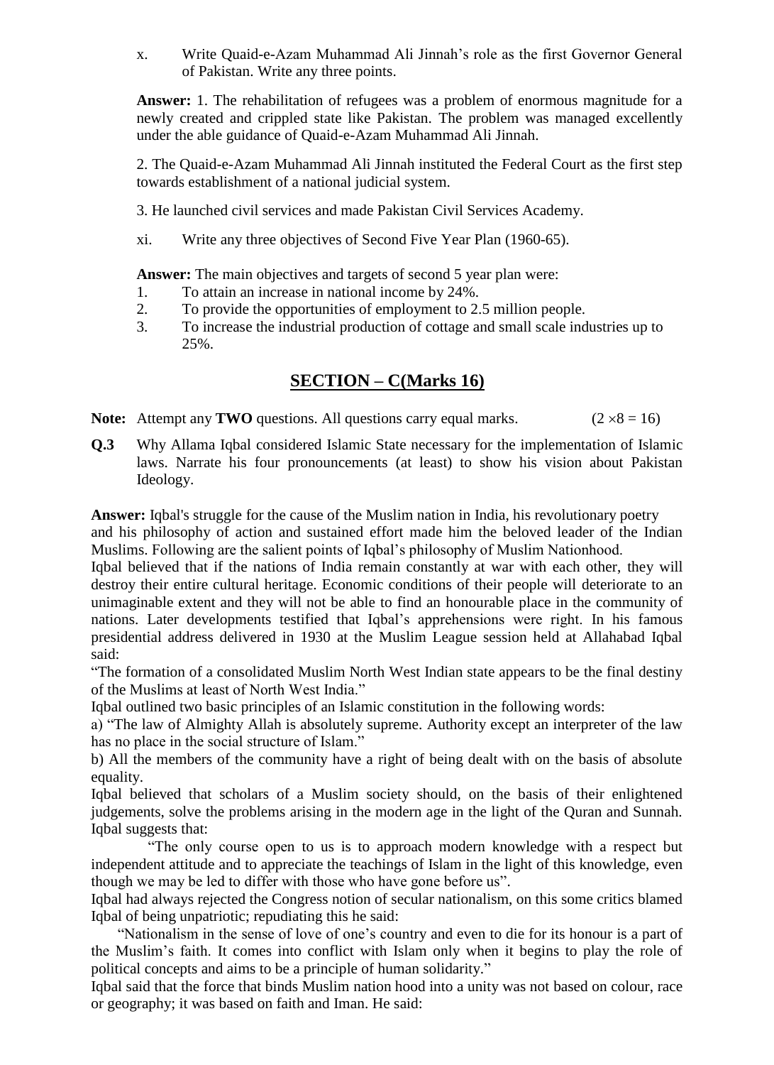x. Write Quaid-e-Azam Muhammad Ali Jinnah"s role as the first Governor General of Pakistan. Write any three points.

**Answer:** 1. The rehabilitation of refugees was a problem of enormous magnitude for a newly created and crippled state like Pakistan. The problem was managed excellently under the able guidance of Quaid-e-Azam Muhammad Ali Jinnah.

2. The Quaid-e-Azam Muhammad Ali Jinnah instituted the Federal Court as the first step towards establishment of a national judicial system.

- 3. He launched civil services and made Pakistan Civil Services Academy.
- xi. Write any three objectives of Second Five Year Plan (1960-65).

Answer: The main objectives and targets of second 5 year plan were:

- 1. To attain an increase in national income by 24%.
- 2. To provide the opportunities of employment to 2.5 million people.
- 3. To increase the industrial production of cottage and small scale industries up to 25%.

# **SECTION – C(Marks 16)**

- **Note:** Attempt any **TWO** questions. All questions carry equal marks. ( $2 \times 8 = 16$ )
- **Q.3** Why Allama Iqbal considered Islamic State necessary for the implementation of Islamic laws. Narrate his four pronouncements (at least) to show his vision about Pakistan Ideology.

**Answer:** Iqbal's struggle for the cause of the Muslim nation in India, his revolutionary poetry

and his philosophy of action and sustained effort made him the beloved leader of the Indian Muslims. Following are the salient points of Iqbal"s philosophy of Muslim Nationhood.

Iqbal believed that if the nations of India remain constantly at war with each other, they will destroy their entire cultural heritage. Economic conditions of their people will deteriorate to an unimaginable extent and they will not be able to find an honourable place in the community of nations. Later developments testified that Iqbal"s apprehensions were right. In his famous presidential address delivered in 1930 at the Muslim League session held at Allahabad Iqbal said:

"The formation of a consolidated Muslim North West Indian state appears to be the final destiny of the Muslims at least of North West India."

Iqbal outlined two basic principles of an Islamic constitution in the following words:

a) "The law of Almighty Allah is absolutely supreme. Authority except an interpreter of the law has no place in the social structure of Islam."

b) All the members of the community have a right of being dealt with on the basis of absolute equality.

Iqbal believed that scholars of a Muslim society should, on the basis of their enlightened judgements, solve the problems arising in the modern age in the light of the Quran and Sunnah. Iqbal suggests that:

 "The only course open to us is to approach modern knowledge with a respect but independent attitude and to appreciate the teachings of Islam in the light of this knowledge, even though we may be led to differ with those who have gone before us".

Iqbal had always rejected the Congress notion of secular nationalism, on this some critics blamed Iqbal of being unpatriotic; repudiating this he said:

"Nationalism in the sense of love of one's country and even to die for its honour is a part of the Muslim"s faith. It comes into conflict with Islam only when it begins to play the role of political concepts and aims to be a principle of human solidarity."

Iqbal said that the force that binds Muslim nation hood into a unity was not based on colour, race or geography; it was based on faith and Iman. He said: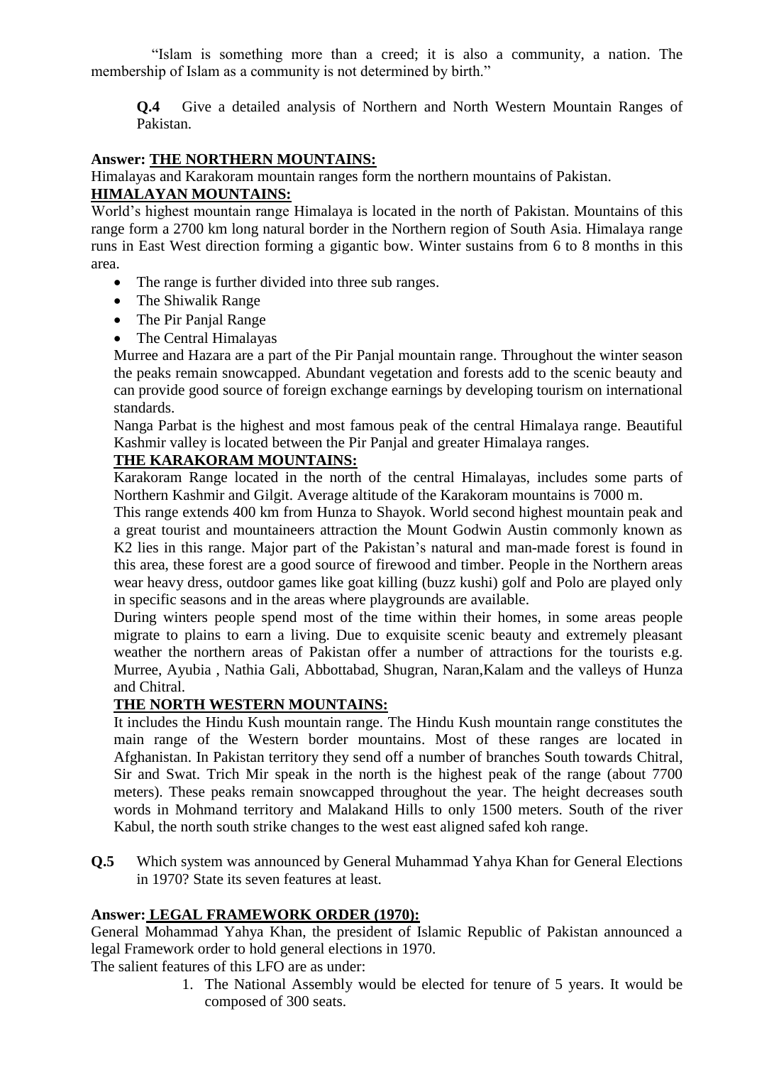"Islam is something more than a creed; it is also a community, a nation. The membership of Islam as a community is not determined by birth."

**Q.4** Give a detailed analysis of Northern and North Western Mountain Ranges of Pakistan.

#### **Answer: THE NORTHERN MOUNTAINS:**

Himalayas and Karakoram mountain ranges form the northern mountains of Pakistan.

### **HIMALAYAN MOUNTAINS:**

World"s highest mountain range Himalaya is located in the north of Pakistan. Mountains of this range form a 2700 km long natural border in the Northern region of South Asia. Himalaya range runs in East West direction forming a gigantic bow. Winter sustains from 6 to 8 months in this area.

- The range is further divided into three sub ranges.
- The Shiwalik Range
- The Pir Panjal Range
- The Central Himalayas

Murree and Hazara are a part of the Pir Panjal mountain range. Throughout the winter season the peaks remain snowcapped. Abundant vegetation and forests add to the scenic beauty and can provide good source of foreign exchange earnings by developing tourism on international standards.

Nanga Parbat is the highest and most famous peak of the central Himalaya range. Beautiful Kashmir valley is located between the Pir Panjal and greater Himalaya ranges.

### **THE KARAKORAM MOUNTAINS:**

Karakoram Range located in the north of the central Himalayas, includes some parts of Northern Kashmir and Gilgit. Average altitude of the Karakoram mountains is 7000 m.

This range extends 400 km from Hunza to Shayok. World second highest mountain peak and a great tourist and mountaineers attraction the Mount Godwin Austin commonly known as K2 lies in this range. Major part of the Pakistan's natural and man-made forest is found in this area, these forest are a good source of firewood and timber. People in the Northern areas wear heavy dress, outdoor games like goat killing (buzz kushi) golf and Polo are played only in specific seasons and in the areas where playgrounds are available.

During winters people spend most of the time within their homes, in some areas people migrate to plains to earn a living. Due to exquisite scenic beauty and extremely pleasant weather the northern areas of Pakistan offer a number of attractions for the tourists e.g. Murree, Ayubia , Nathia Gali, Abbottabad, Shugran, Naran,Kalam and the valleys of Hunza and Chitral.

### **THE NORTH WESTERN MOUNTAINS:**

It includes the Hindu Kush mountain range. The Hindu Kush mountain range constitutes the main range of the Western border mountains. Most of these ranges are located in Afghanistan. In Pakistan territory they send off a number of branches South towards Chitral, Sir and Swat. Trich Mir speak in the north is the highest peak of the range (about 7700 meters). These peaks remain snowcapped throughout the year. The height decreases south words in Mohmand territory and Malakand Hills to only 1500 meters. South of the river Kabul, the north south strike changes to the west east aligned safed koh range.

**Q.5** Which system was announced by General Muhammad Yahya Khan for General Elections in 1970? State its seven features at least.

#### **Answer: LEGAL FRAMEWORK ORDER (1970):**

General Mohammad Yahya Khan, the president of Islamic Republic of Pakistan announced a legal Framework order to hold general elections in 1970.

The salient features of this LFO are as under:

1. The National Assembly would be elected for tenure of 5 years. It would be composed of 300 seats.